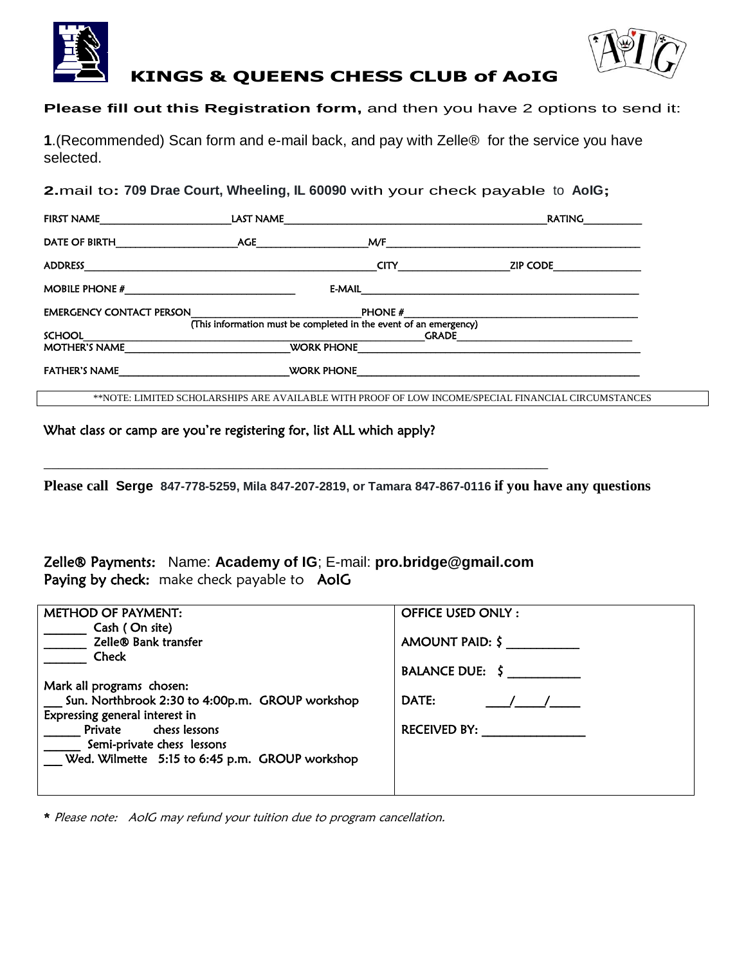



# **KINGS & QUEENS CHESS CLUB of AoIG**

**Please fill out this Registration form,** and then you have 2 options to send it:

**1**.(Recommended) Scan form and e-mail back, and pay with Zelle® for the service you have selected.

**2.**mail to**: 709 Drae Court, Wheeling, IL 60090** with your check payable to **AoIG;** 

| FIRST NAME                                                                                                     | LAST NAME      |                                                                                                                                                                                                                                    | RATING                                                                                              |
|----------------------------------------------------------------------------------------------------------------|----------------|------------------------------------------------------------------------------------------------------------------------------------------------------------------------------------------------------------------------------------|-----------------------------------------------------------------------------------------------------|
| DATE OF BIRTH                                                                                                  | <b>AGE AGE</b> | <b>M/F</b> and the state of the state of the state of the state of the state of the state of the state of the state of the state of the state of the state of the state of the state of the state of the state of the state of the |                                                                                                     |
| <b>ADDRESS</b>                                                                                                 |                | <b>CITY CITY CITY</b>                                                                                                                                                                                                              | ZIP CODE                                                                                            |
| MOBILE PHONE $#$                                                                                               |                | $E-MAIL$                                                                                                                                                                                                                           |                                                                                                     |
| <b>EMERGENCY CONTACT PERSON</b>                                                                                |                | PHONE #                                                                                                                                                                                                                            |                                                                                                     |
|                                                                                                                |                | (This information must be completed in the event of an emergency)                                                                                                                                                                  |                                                                                                     |
|                                                                                                                |                | <b>GRADE</b>                                                                                                                                                                                                                       |                                                                                                     |
| <b>MOTHER'S NAME</b>                                                                                           |                | <b>WORK PHONE</b>                                                                                                                                                                                                                  |                                                                                                     |
| FATHER'S NAME THE THREE IS NOT THE THREE IS NOT THE THREE IS NOT THE THREE IS NOT THE THREE IS NOT THE THREE I |                | WORK PHONE <b>WORK PHONE</b>                                                                                                                                                                                                       |                                                                                                     |
|                                                                                                                |                |                                                                                                                                                                                                                                    | **NOTE: LIMITED SCHOLARSHIPS ARE AVAILABLE WITH PROOF OF LOW INCOME/SPECIAL FINANCIAL CIRCUMSTANCES |

### What class or camp are you're registering for, list ALL which apply?

**Please call Serge 847-778-5259, Mila 847-207-2819, or Tamara 847-867-0116 if you have any questions**

Zelle® Payments: Name: **Academy of IG**; E-mail: **[pro.bridge@gmail.com](mailto:pro.bridge@gmail.com)** Paying by check: make check payable to AoIG

\_\_\_\_\_\_\_\_\_\_\_\_\_\_\_\_\_\_\_\_\_\_\_\_\_\_\_\_\_\_\_\_\_\_\_\_\_\_\_\_\_\_\_\_\_\_\_\_\_\_\_\_\_\_\_\_\_\_\_\_\_\_\_\_\_\_\_\_\_

| <b>METHOD OF PAYMENT:</b>                       | <b>OFFICE USED ONLY:</b> |
|-------------------------------------------------|--------------------------|
| Cash (On site)                                  |                          |
| Zelle® Bank transfer                            | AMOUNT PAID: $\zeta$     |
| Check                                           |                          |
|                                                 | BALANCE DUE: $\zeta$     |
| Mark all programs chosen:                       |                          |
| Sun. Northbrook 2:30 to 4:00p.m. GROUP workshop | <b>DATE:</b>             |
| Expressing general interest in                  |                          |
| Private chess lessons                           | RECEIVED BY:             |
| Semi-private chess lessons                      |                          |
| Wed. Wilmette 5:15 to 6:45 p.m. GROUP workshop  |                          |
|                                                 |                          |
|                                                 |                          |

\* Please note: AoIG may refund your tuition due to program cancellation.